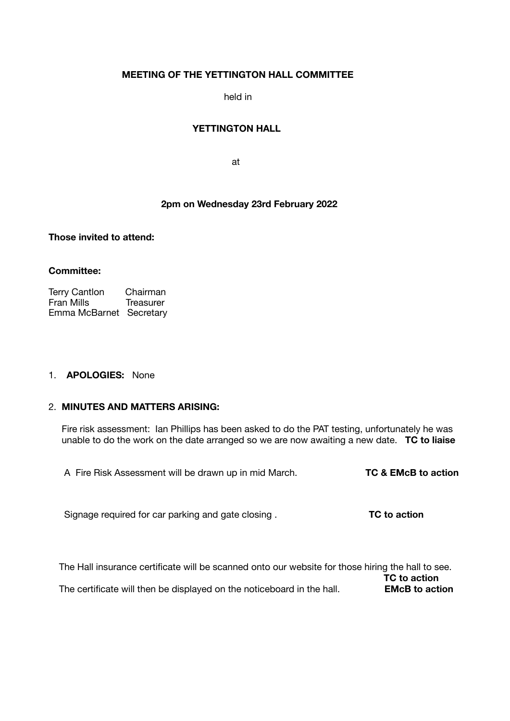# **MEETING OF THE YETTINGTON HALL COMMITTEE**

held in

## **YETTINGTON HALL**

**at the contract of the contract of the contract of the contract of the contract of the contract of the contract of the contract of the contract of the contract of the contract of the contract of the contract of the contra** 

# **2pm on Wednesday 23rd February 2022**

**Those invited to attend:** 

#### **Committee:**

Terry Cantlon Chairman<br>Fran Mills Treasurer Fran Mills Emma McBarnet Secretary

#### 1. **APOLOGIES:** None

#### 2. **MINUTES AND MATTERS ARISING:**

Fire risk assessment: Ian Phillips has been asked to do the PAT testing, unfortunately he was unable to do the work on the date arranged so we are now awaiting a new date. **TC to liaise** 

A Fire Risk Assessment will be drawn up in mid March. **TC & EMcB to action** 

Signage required for car parking and gate closing . **TC to action** 

 The Hall insurance certificate will be scanned onto our website for those hiring the hall to see. **TC to action** The certificate will then be displayed on the noticeboard in the hall. **EMcB to action**